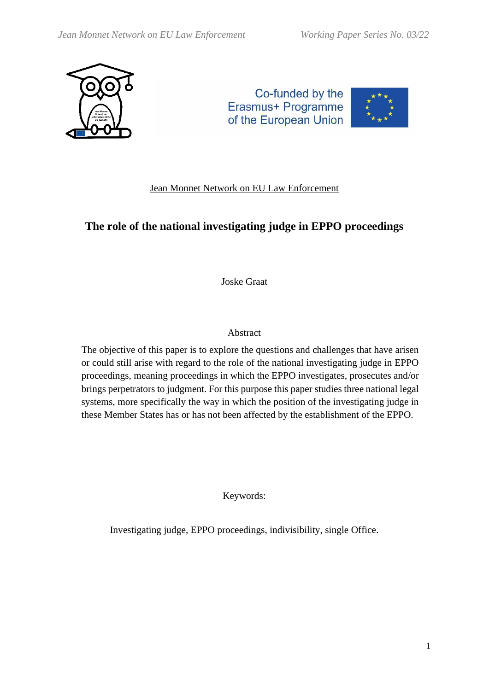

Co-funded by the Erasmus+ Programme of the European Union



## Jean Monnet Network on EU Law Enforcement

# **The role of the national investigating judge in EPPO proceedings**

Joske Graat

## Abstract

The objective of this paper is to explore the questions and challenges that have arisen or could still arise with regard to the role of the national investigating judge in EPPO proceedings, meaning proceedings in which the EPPO investigates, prosecutes and/or brings perpetrators to judgment. For this purpose this paper studies three national legal systems, more specifically the way in which the position of the investigating judge in these Member States has or has not been affected by the establishment of the EPPO.

Keywords:

Investigating judge, EPPO proceedings, indivisibility, single Office.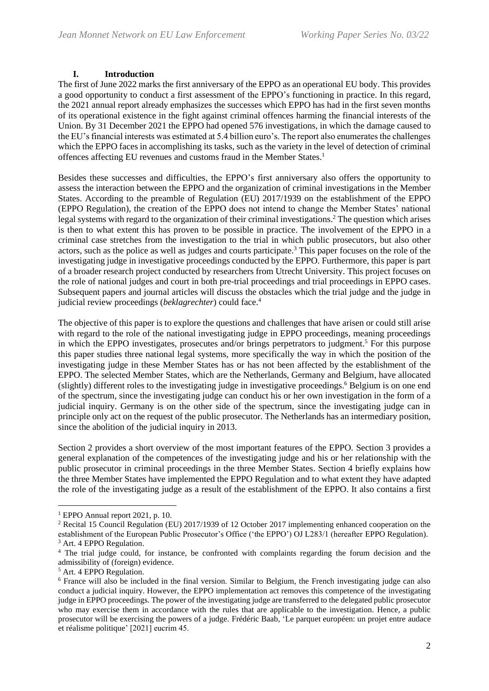## **I. Introduction**

The first of June 2022 marks the first anniversary of the EPPO as an operational EU body. This provides a good opportunity to conduct a first assessment of the EPPO's functioning in practice. In this regard, the 2021 annual report already emphasizes the successes which EPPO has had in the first seven months of its operational existence in the fight against criminal offences harming the financial interests of the Union. By 31 December 2021 the EPPO had opened 576 investigations, in which the damage caused to the EU's financial interests was estimated at 5.4 billion euro's. The report also enumerates the challenges which the EPPO faces in accomplishing its tasks, such as the variety in the level of detection of criminal offences affecting EU revenues and customs fraud in the Member States. 1

Besides these successes and difficulties, the EPPO's first anniversary also offers the opportunity to assess the interaction between the EPPO and the organization of criminal investigations in the Member States. According to the preamble of Regulation (EU) 2017/1939 on the establishment of the EPPO (EPPO Regulation), the creation of the EPPO does not intend to change the Member States' national legal systems with regard to the organization of their criminal investigations.<sup>2</sup> The question which arises is then to what extent this has proven to be possible in practice. The involvement of the EPPO in a criminal case stretches from the investigation to the trial in which public prosecutors, but also other actors, such as the police as well as judges and courts participate.<sup>3</sup> This paper focuses on the role of the investigating judge in investigative proceedings conducted by the EPPO. Furthermore, this paper is part of a broader research project conducted by researchers from Utrecht University. This project focuses on the role of national judges and court in both pre-trial proceedings and trial proceedings in EPPO cases. Subsequent papers and journal articles will discuss the obstacles which the trial judge and the judge in judicial review proceedings (*beklagrechter*) could face.<sup>4</sup>

The objective of this paper is to explore the questions and challenges that have arisen or could still arise with regard to the role of the national investigating judge in EPPO proceedings, meaning proceedings in which the EPPO investigates, prosecutes and/or brings perpetrators to judgment.<sup>5</sup> For this purpose this paper studies three national legal systems, more specifically the way in which the position of the investigating judge in these Member States has or has not been affected by the establishment of the EPPO. The selected Member States, which are the Netherlands, Germany and Belgium, have allocated (slightly) different roles to the investigating judge in investigative proceedings.<sup>6</sup> Belgium is on one end of the spectrum, since the investigating judge can conduct his or her own investigation in the form of a judicial inquiry. Germany is on the other side of the spectrum, since the investigating judge can in principle only act on the request of the public prosecutor. The Netherlands has an intermediary position, since the abolition of the judicial inquiry in 2013.

Section 2 provides a short overview of the most important features of the EPPO. Section 3 provides a general explanation of the competences of the investigating judge and his or her relationship with the public prosecutor in criminal proceedings in the three Member States. Section 4 briefly explains how the three Member States have implemented the EPPO Regulation and to what extent they have adapted the role of the investigating judge as a result of the establishment of the EPPO. It also contains a first

 $<sup>1</sup>$  EPPO Annual report 2021, p. 10.</sup>

<sup>2</sup> Recital 15 Council Regulation (EU) 2017/1939 of 12 October 2017 implementing enhanced cooperation on the establishment of the European Public Prosecutor's Office ('the EPPO') OJ L283/1 (hereafter EPPO Regulation). <sup>3</sup> Art. 4 EPPO Regulation.

<sup>&</sup>lt;sup>4</sup> The trial judge could, for instance, be confronted with complaints regarding the forum decision and the admissibility of (foreign) evidence.

<sup>5</sup> Art. 4 EPPO Regulation.

<sup>6</sup> France will also be included in the final version. Similar to Belgium, the French investigating judge can also conduct a judicial inquiry. However, the EPPO implementation act removes this competence of the investigating judge in EPPO proceedings. The power of the investigating judge are transferred to the delegated public prosecutor who may exercise them in accordance with the rules that are applicable to the investigation. Hence, a public prosecutor will be exercising the powers of a judge. Frédéric Baab, 'Le parquet européen: un projet entre audace et réalisme politique' [2021] eucrim 45.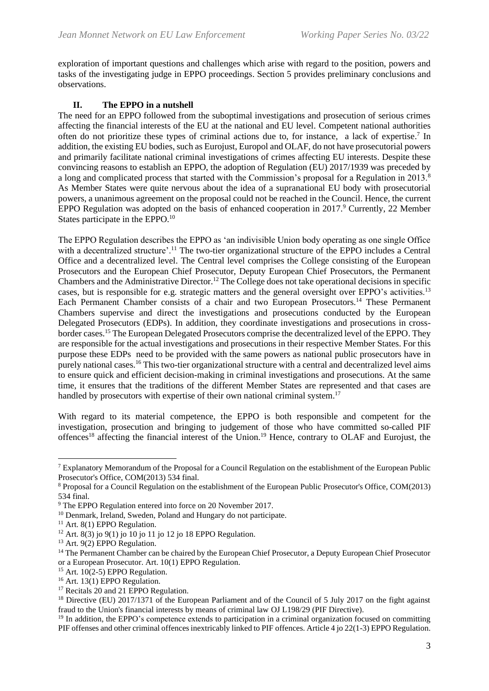exploration of important questions and challenges which arise with regard to the position, powers and tasks of the investigating judge in EPPO proceedings. Section 5 provides preliminary conclusions and observations.

## **II. The EPPO in a nutshell**

The need for an EPPO followed from the suboptimal investigations and prosecution of serious crimes affecting the financial interests of the EU at the national and EU level. Competent national authorities often do not prioritize these types of criminal actions due to, for instance, a lack of expertise.<sup>7</sup> In addition, the existing EU bodies, such as Eurojust, Europol and OLAF, do not have prosecutorial powers and primarily facilitate national criminal investigations of crimes affecting EU interests. Despite these convincing reasons to establish an EPPO, the adoption of Regulation (EU) 2017/1939 was preceded by a long and complicated process that started with the Commission's proposal for a Regulation in 2013.<sup>8</sup> As Member States were quite nervous about the idea of a supranational EU body with prosecutorial powers, a unanimous agreement on the proposal could not be reached in the Council. Hence, the current EPPO Regulation was adopted on the basis of enhanced cooperation in 2017.<sup>9</sup> Currently, 22 Member States participate in the EPPO.<sup>10</sup>

The EPPO Regulation describes the EPPO as 'an indivisible Union body operating as one single Office with a decentralized structure'.<sup>11</sup> The two-tier organizational structure of the EPPO includes a Central Office and a decentralized level. The Central level comprises the College consisting of the European Prosecutors and the European Chief Prosecutor, Deputy European Chief Prosecutors, the Permanent Chambers and the Administrative Director.<sup>12</sup> The College does not take operational decisions in specific cases, but is responsible for e.g. strategic matters and the general oversight over EPPO's activities.<sup>13</sup> Each Permanent Chamber consists of a chair and two European Prosecutors.<sup>14</sup> These Permanent Chambers supervise and direct the investigations and prosecutions conducted by the European Delegated Prosecutors (EDPs). In addition, they coordinate investigations and prosecutions in crossborder cases.<sup>15</sup> The European Delegated Prosecutors comprise the decentralized level of the EPPO. They are responsible for the actual investigations and prosecutions in their respective Member States. For this purpose these EDPs need to be provided with the same powers as national public prosecutors have in purely national cases.<sup>16</sup> This two-tier organizational structure with a central and decentralized level aims to ensure quick and efficient decision-making in criminal investigations and prosecutions. At the same time, it ensures that the traditions of the different Member States are represented and that cases are handled by prosecutors with expertise of their own national criminal system.<sup>17</sup>

With regard to its material competence, the EPPO is both responsible and competent for the investigation, prosecution and bringing to judgement of those who have committed so-called PIF offences<sup>18</sup> affecting the financial interest of the Union.<sup>19</sup> Hence, contrary to OLAF and Eurojust, the

<sup>&</sup>lt;sup>7</sup> Explanatory Memorandum of the Proposal for a Council Regulation on the establishment of the European Public Prosecutor's Office, COM(2013) 534 final.

<sup>8</sup> Proposal for a Council Regulation on the establishment of the European Public Prosecutor's Office, COM(2013) 534 final.

<sup>9</sup> The EPPO Regulation entered into force on 20 November 2017.

<sup>&</sup>lt;sup>10</sup> Denmark, Ireland, Sweden, Poland and Hungary do not participate.

 $11$  Art. 8(1) EPPO Regulation.

<sup>&</sup>lt;sup>12</sup> Art. 8(3) jo 9(1) jo 10 jo 11 jo 12 jo 18 EPPO Regulation.

<sup>&</sup>lt;sup>13</sup> Art. 9(2) EPPO Regulation.

<sup>&</sup>lt;sup>14</sup> The Permanent Chamber can be chaired by the European Chief Prosecutor, a Deputy European Chief Prosecutor or a European Prosecutor. Art. 10(1) EPPO Regulation.

<sup>&</sup>lt;sup>15</sup> Art. 10 $(2-5)$  EPPO Regulation.

<sup>16</sup> Art. 13(1) EPPO Regulation.

<sup>&</sup>lt;sup>17</sup> Recitals 20 and 21 EPPO Regulation.

<sup>&</sup>lt;sup>18</sup> Directive (EU) 2017/1371 of the European Parliament and of the Council of 5 July 2017 on the fight against fraud to the Union's financial interests by means of criminal law OJ L198/29 (PIF Directive).

<sup>&</sup>lt;sup>19</sup> In addition, the EPPO's competence extends to participation in a criminal organization focused on committing PIF offenses and other criminal offences inextricably linked to PIF offences. Article 4 jo 22(1-3) EPPO Regulation.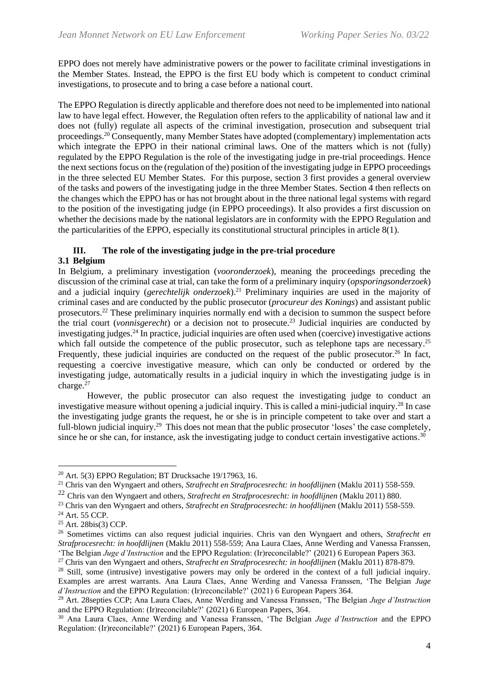EPPO does not merely have administrative powers or the power to facilitate criminal investigations in the Member States. Instead, the EPPO is the first EU body which is competent to conduct criminal investigations, to prosecute and to bring a case before a national court.

The EPPO Regulation is directly applicable and therefore does not need to be implemented into national law to have legal effect. However, the Regulation often refers to the applicability of national law and it does not (fully) regulate all aspects of the criminal investigation, prosecution and subsequent trial proceedings.<sup>20</sup> Consequently, many Member States have adopted (complementary) implementation acts which integrate the EPPO in their national criminal laws. One of the matters which is not (fully) regulated by the EPPO Regulation is the role of the investigating judge in pre-trial proceedings. Hence the next sections focus on the (regulation of the) position of the investigating judge in EPPO proceedings in the three selected EU Member States. For this purpose, section 3 first provides a general overview of the tasks and powers of the investigating judge in the three Member States. Section 4 then reflects on the changes which the EPPO has or has not brought about in the three national legal systems with regard to the position of the investigating judge (in EPPO proceedings). It also provides a first discussion on whether the decisions made by the national legislators are in conformity with the EPPO Regulation and the particularities of the EPPO, especially its constitutional structural principles in article  $8(1)$ .

## **III. The role of the investigating judge in the pre-trial procedure**

## **3.1 Belgium**

In Belgium, a preliminary investigation (*vooronderzoek*), meaning the proceedings preceding the discussion of the criminal case at trial, can take the form of a preliminary inquiry (*opsporingsonderzoek*) and a judicial inquiry (*gerechtelijk onderzoek*). <sup>21</sup> Preliminary inquiries are used in the majority of criminal cases and are conducted by the public prosecutor (*procureur des Konings*) and assistant public prosecutors.<sup>22</sup> These preliminary inquiries normally end with a decision to summon the suspect before the trial court (*vonnisgerecht*) or a decision not to prosecute.<sup>23</sup> Judicial inquiries are conducted by investigating judges. <sup>24</sup> In practice, judicial inquiries are often used when (coercive) investigative actions which fall outside the competence of the public prosecutor, such as telephone taps are necessary.<sup>25</sup> Frequently, these judicial inquiries are conducted on the request of the public prosecutor.<sup>26</sup> In fact, requesting a coercive investigative measure, which can only be conducted or ordered by the investigating judge, automatically results in a judicial inquiry in which the investigating judge is in charge.<sup>27</sup>

However, the public prosecutor can also request the investigating judge to conduct an investigative measure without opening a judicial inquiry. This is called a mini-judicial inquiry.<sup>28</sup> In case the investigating judge grants the request, he or she is in principle competent to take over and start a full-blown judicial inquiry.<sup>29</sup> This does not mean that the public prosecutor 'loses' the case completely, since he or she can, for instance, ask the investigating judge to conduct certain investigative actions.<sup>30</sup>

<sup>20</sup> Art. 5(3) EPPO Regulation; BT Drucksache 19/17963, 16.

<sup>21</sup> Chris van den Wyngaert and others, *Strafrecht en Strafprocesrecht: in hoofdlijnen* (Maklu 2011) 558-559.

<sup>22</sup> Chris van den Wyngaert and others, *Strafrecht en Strafprocesrecht: in hoofdlijnen* (Maklu 2011) 880.

<sup>23</sup> Chris van den Wyngaert and others, *Strafrecht en Strafprocesrecht: in hoofdlijnen* (Maklu 2011) 558-559.

<sup>24</sup> Art. 55 CCP.

<sup>25</sup> Art. 28bis(3) CCP.

<sup>26</sup> Sometimes victims can also request judicial inquiries. Chris van den Wyngaert and others, *Strafrecht en Strafprocesrecht: in hoofdlijnen* (Maklu 2011) 558-559; Ana Laura Claes, Anne Werding and Vanessa Franssen, 'The Belgian *Juge d'Instruction* and the EPPO Regulation: (Ir)reconcilable?' (2021) 6 European Papers 363.

<sup>27</sup> Chris van den Wyngaert and others, *Strafrecht en Strafprocesrecht: in hoofdlijnen* (Maklu 2011) 878-879.

<sup>&</sup>lt;sup>28</sup> Still, some (intrusive) investigative powers may only be ordered in the context of a full judicial inquiry. Examples are arrest warrants. Ana Laura Claes, Anne Werding and Vanessa Franssen, 'The Belgian *Juge d'Instruction* and the EPPO Regulation: (Ir)reconcilable?' (2021) 6 European Papers 364.

<sup>29</sup> Art. 28septies CCP; Ana Laura Claes, Anne Werding and Vanessa Franssen, 'The Belgian *Juge d'Instruction* and the EPPO Regulation: (Ir)reconcilable?' (2021) 6 European Papers, 364.

<sup>30</sup> Ana Laura Claes, Anne Werding and Vanessa Franssen, 'The Belgian *Juge d'Instruction* and the EPPO Regulation: (Ir)reconcilable?' (2021) 6 European Papers, 364.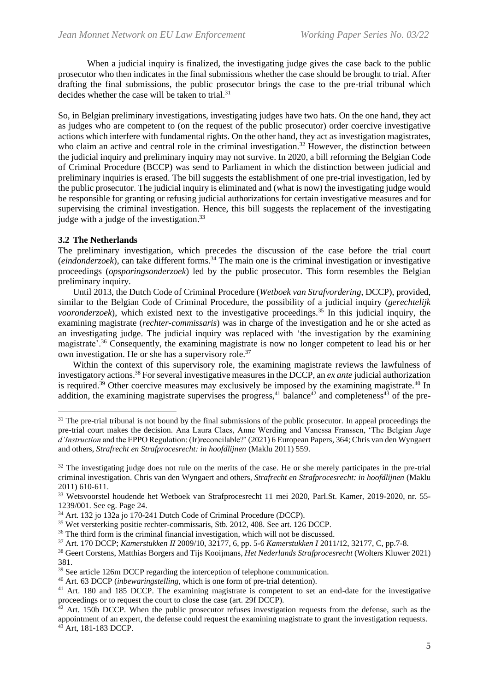When a judicial inquiry is finalized, the investigating judge gives the case back to the public prosecutor who then indicates in the final submissions whether the case should be brought to trial. After drafting the final submissions, the public prosecutor brings the case to the pre-trial tribunal which decides whether the case will be taken to trial.<sup>31</sup>

So, in Belgian preliminary investigations, investigating judges have two hats. On the one hand, they act as judges who are competent to (on the request of the public prosecutor) order coercive investigative actions which interfere with fundamental rights. On the other hand, they act as investigation magistrates, who claim an active and central role in the criminal investigation.<sup>32</sup> However, the distinction between the judicial inquiry and preliminary inquiry may not survive. In 2020, a bill reforming the Belgian Code of Criminal Procedure (BCCP) was send to Parliament in which the distinction between judicial and preliminary inquiries is erased. The bill suggests the establishment of one pre-trial investigation, led by the public prosecutor. The judicial inquiry is eliminated and (what is now) the investigating judge would be responsible for granting or refusing judicial authorizations for certain investigative measures and for supervising the criminal investigation. Hence, this bill suggests the replacement of the investigating judge with a judge of the investigation.<sup>33</sup>

#### **3.2 The Netherlands**

The preliminary investigation, which precedes the discussion of the case before the trial court (*eindonderzoek*), can take different forms. <sup>34</sup> The main one is the criminal investigation or investigative proceedings (*opsporingsonderzoek*) led by the public prosecutor. This form resembles the Belgian preliminary inquiry.

Until 2013, the Dutch Code of Criminal Procedure (*Wetboek van Strafvordering*, DCCP), provided, similar to the Belgian Code of Criminal Procedure, the possibility of a judicial inquiry (*gerechtelijk vooronderzoek*), which existed next to the investigative proceedings.<sup>35</sup> In this judicial inquiry, the examining magistrate (*rechter-commissaris*) was in charge of the investigation and he or she acted as an investigating judge. The judicial inquiry was replaced with 'the investigation by the examining magistrate'.<sup>36</sup> Consequently, the examining magistrate is now no longer competent to lead his or her own investigation. He or she has a supervisory role.<sup>37</sup>

Within the context of this supervisory role, the examining magistrate reviews the lawfulness of investigatory actions. <sup>38</sup> For several investigative measures in the DCCP, an *ex ante* judicial authorization is required.<sup>39</sup> Other coercive measures may exclusively be imposed by the examining magistrate.<sup>40</sup> In addition, the examining magistrate supervises the progress,<sup>41</sup> balance<sup> $42$ </sup> and completeness<sup> $43$ </sup> of the pre-

 $31$  The pre-trial tribunal is not bound by the final submissions of the public prosecutor. In appeal proceedings the pre-trial court makes the decision. Ana Laura Claes, Anne Werding and Vanessa Franssen, 'The Belgian *Juge d'Instruction* and the EPPO Regulation: (Ir)reconcilable?' (2021) 6 European Papers, 364; Chris van den Wyngaert and others, *Strafrecht en Strafprocesrecht: in hoofdlijnen* (Maklu 2011) 559.

 $32$  The investigating judge does not rule on the merits of the case. He or she merely participates in the pre-trial criminal investigation. Chris van den Wyngaert and others, *Strafrecht en Strafprocesrecht: in hoofdlijnen* (Maklu 2011) 610-611.

<sup>33</sup> Wetsvoorstel houdende het Wetboek van Strafprocesrecht 11 mei 2020, Parl.St. Kamer, 2019-2020, nr. 55- 1239/001. See eg. Page 24.

<sup>34</sup> Art. 132 jo 132a jo 170-241 Dutch Code of Criminal Procedure (DCCP).

<sup>35</sup> Wet versterking positie rechter-commissaris, Stb. 2012, 408. See art. 126 DCCP.

<sup>&</sup>lt;sup>36</sup> The third form is the criminal financial investigation, which will not be discussed.

<sup>37</sup> Art. 170 DCCP; *Kamerstukken II* 2009/10, 32177, 6, pp. 5-6 *Kamerstukken I* 2011/12, 32177, C, pp.7-8.

<sup>38</sup> Geert Corstens, Matthias Borgers and Tijs Kooijmans*, Het Nederlands Strafprocesrecht* (Wolters Kluwer 2021) 381.

<sup>&</sup>lt;sup>39</sup> See article 126m DCCP regarding the interception of telephone communication.

<sup>40</sup> Art. 63 DCCP (*inbewaringstelling,* which is one form of pre-trial detention).

<sup>41</sup> Art. 180 and 185 DCCP. The examining magistrate is competent to set an end-date for the investigative proceedings or to request the court to close the case (art. 29f DCCP).

 $42$  Art. 150b DCCP. When the public prosecutor refuses investigation requests from the defense, such as the appointment of an expert, the defense could request the examining magistrate to grant the investigation requests. <sup>43</sup> Art, 181-183 DCCP.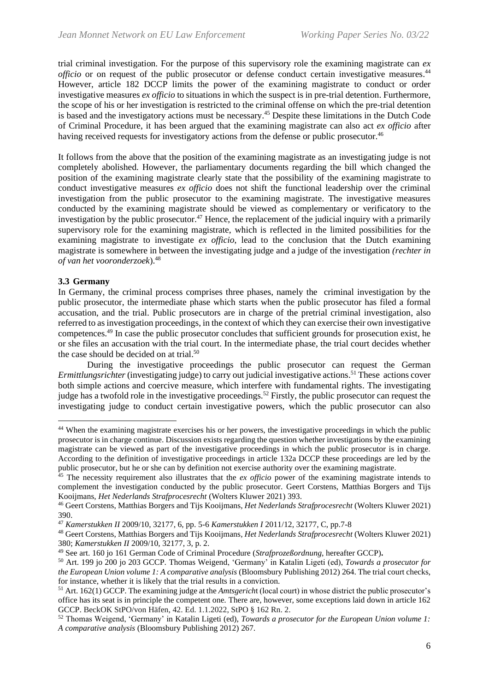trial criminal investigation. For the purpose of this supervisory role the examining magistrate can *ex*  officio or on request of the public prosecutor or defense conduct certain investigative measures.<sup>44</sup> However, article 182 DCCP limits the power of the examining magistrate to conduct or order investigative measures *ex officio* to situations in which the suspect is in pre-trial detention. Furthermore, the scope of his or her investigation is restricted to the criminal offense on which the pre-trial detention is based and the investigatory actions must be necessary. <sup>45</sup> Despite these limitations in the Dutch Code of Criminal Procedure, it has been argued that the examining magistrate can also act *ex officio* after having received requests for investigatory actions from the defense or public prosecutor.<sup>46</sup>

It follows from the above that the position of the examining magistrate as an investigating judge is not completely abolished. However, the parliamentary documents regarding the bill which changed the position of the examining magistrate clearly state that the possibility of the examining magistrate to conduct investigative measures *ex officio* does not shift the functional leadership over the criminal investigation from the public prosecutor to the examining magistrate. The investigative measures conducted by the examining magistrate should be viewed as complementary or verificatory to the investigation by the public prosecutor.<sup>47</sup> Hence, the replacement of the judicial inquiry with a primarily supervisory role for the examining magistrate, which is reflected in the limited possibilities for the examining magistrate to investigate *ex officio*, lead to the conclusion that the Dutch examining magistrate is somewhere in between the investigating judge and a judge of the investigation *(rechter in of van het vooronderzoek*).<sup>48</sup>

#### **3.3 Germany**

In Germany, the criminal process comprises three phases, namely the criminal investigation by the public prosecutor, the intermediate phase which starts when the public prosecutor has filed a formal accusation, and the trial. Public prosecutors are in charge of the pretrial criminal investigation, also referred to as investigation proceedings, in the context of which they can exercise their own investigative competences.<sup>49</sup> In case the public prosecutor concludes that sufficient grounds for prosecution exist, he or she files an accusation with the trial court. In the intermediate phase, the trial court decides whether the case should be decided on at trial.<sup>50</sup>

During the investigative proceedings the public prosecutor can request the German *Ermittlungsrichter* (investigating judge) to carry out judicial investigative actions. <sup>51</sup> These actions cover both simple actions and coercive measure, which interfere with fundamental rights. The investigating judge has a twofold role in the investigative proceedings.<sup>52</sup> Firstly, the public prosecutor can request the investigating judge to conduct certain investigative powers, which the public prosecutor can also

<sup>&</sup>lt;sup>44</sup> When the examining magistrate exercises his or her powers, the investigative proceedings in which the public prosecutor is in charge continue. Discussion exists regarding the question whether investigations by the examining magistrate can be viewed as part of the investigative proceedings in which the public prosecutor is in charge. According to the definition of investigative proceedings in article 132a DCCP these proceedings are led by the public prosecutor, but he or she can by definition not exercise authority over the examining magistrate.

<sup>&</sup>lt;sup>45</sup> The necessity requirement also illustrates that the *ex officio* power of the examining magistrate intends to complement the investigation conducted by the public prosecutor. Geert Corstens, Matthias Borgers and Tijs Kooijmans*, Het Nederlands Strafprocesrecht* (Wolters Kluwer 2021) 393.

<sup>46</sup> Geert Corstens, Matthias Borgers and Tijs Kooijmans*, Het Nederlands Strafprocesrecht* (Wolters Kluwer 2021) 390.

<sup>47</sup> *Kamerstukken II* 2009/10, 32177, 6, pp. 5-6 *Kamerstukken I* 2011/12, 32177, C, pp.7-8

<sup>48</sup> Geert Corstens, Matthias Borgers and Tijs Kooijmans*, Het Nederlands Strafprocesrecht* (Wolters Kluwer 2021) 380; *Kamerstukken II* 2009/10, 32177, 3, p. 2.

<sup>49</sup> See art. 160 jo 161 German Code of Criminal Procedure (*Strafprozeßordnung*, hereafter GCCP)**.**

<sup>50</sup> Art. 199 jo 200 jo 203 GCCP. Thomas Weigend, 'Germany' in Katalin Ligeti (ed), *Towards a prosecutor for the European Union volume 1: A comparative analysis* (Bloomsbury Publishing 2012) 264. The trial court checks, for instance, whether it is likely that the trial results in a conviction.

<sup>51</sup> Art. 162(1) GCCP. The examining judge at the *Amtsgerich*t (local court) in whose district the public prosecutor's office has its seat is in principle the competent one. There are, however, some exceptions laid down in article 162 GCCP. BeckOK StPO/von Häfen, 42. Ed. 1.1.2022, StPO § 162 Rn. 2.

<sup>52</sup> Thomas Weigend, 'Germany' in Katalin Ligeti (ed), *Towards a prosecutor for the European Union volume 1: A comparative analysis* (Bloomsbury Publishing 2012) 267.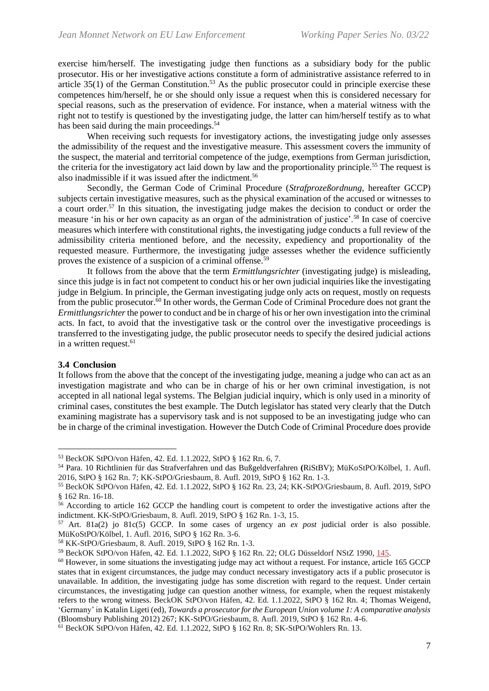exercise him/herself. The investigating judge then functions as a subsidiary body for the public prosecutor. His or her investigative actions constitute a form of administrative assistance referred to in article  $35(1)$  of the German Constitution.<sup>53</sup> As the public prosecutor could in principle exercise these competences him/herself, he or she should only issue a request when this is considered necessary for special reasons, such as the preservation of evidence. For instance, when a material witness with the right not to testify is questioned by the investigating judge, the latter can him/herself testify as to what has been said during the main proceedings.<sup>54</sup>

When receiving such requests for investigatory actions, the investigating judge only assesses the admissibility of the request and the investigative measure. This assessment covers the immunity of the suspect, the material and territorial competence of the judge, exemptions from German jurisdiction, the criteria for the investigatory act laid down by law and the proportionality principle.<sup>55</sup> The request is also inadmissible if it was issued after the indictment.<sup>56</sup>

Secondly, the German Code of Criminal Procedure (*Strafprozeßordnung*, hereafter GCCP) subjects certain investigative measures, such as the physical examination of the accused or witnesses to a court order.<sup>57</sup> In this situation, the investigating judge makes the decision to conduct or order the measure 'in his or her own capacity as an organ of the administration of justice'.<sup>58</sup> In case of coercive measures which interfere with constitutional rights, the investigating judge conducts a full review of the admissibility criteria mentioned before, and the necessity, expediency and proportionality of the requested measure. Furthermore, the investigating judge assesses whether the evidence sufficiently proves the existence of a suspicion of a criminal offense.<sup>59</sup>

It follows from the above that the term *Ermittlungsrichter* (investigating judge) is misleading, since this judge is in fact not competent to conduct his or her own judicial inquiries like the investigating judge in Belgium. In principle, the German investigating judge only acts on request, mostly on requests from the public prosecutor.<sup>60</sup> In other words, the German Code of Criminal Procedure does not grant the *Ermittlungsrichter*the power to conduct and be in charge of his or her own investigation into the criminal acts. In fact, to avoid that the investigative task or the control over the investigative proceedings is transferred to the investigating judge, the public prosecutor needs to specify the desired judicial actions in a written request.<sup>61</sup>

#### **3.4 Conclusion**

It follows from the above that the concept of the investigating judge, meaning a judge who can act as an investigation magistrate and who can be in charge of his or her own criminal investigation, is not accepted in all national legal systems. The Belgian judicial inquiry, which is only used in a minority of criminal cases, constitutes the best example. The Dutch legislator has stated very clearly that the Dutch examining magistrate has a supervisory task and is not supposed to be an investigating judge who can be in charge of the criminal investigation. However the Dutch Code of Criminal Procedure does provide

<sup>53</sup> BeckOK StPO/von Häfen, 42. Ed. 1.1.2022, StPO § 162 Rn. 6, 7.

<sup>54</sup> Para. 10 Richtlinien für das Strafverfahren und das Bußgeldverfahren **(**RiStBV); MüKoStPO/Kölbel, 1. Aufl. 2016, StPO § 162 Rn. 7; KK-StPO/Griesbaum, 8. Aufl. 2019, StPO § 162 Rn. 1-3.

<sup>55</sup> BeckOK StPO/von Häfen, 42. Ed. 1.1.2022, StPO § 162 Rn. 23, 24; KK-StPO/Griesbaum, 8. Aufl. 2019, StPO § 162 Rn. 16-18.

<sup>56</sup> According to article 162 GCCP the handling court is competent to order the investigative actions after the indictment. KK-StPO/Griesbaum, 8. Aufl. 2019, StPO § 162 Rn. 1-3, 15.

<sup>57</sup> Art. 81a(2) jo 81c(5) GCCP. In some cases of urgency an *ex post* judicial order is also possible. MüKoStPO/Kölbel, 1. Aufl. 2016, StPO § 162 Rn. 3-6.

<sup>58</sup> KK-StPO/Griesbaum, 8. Aufl. 2019, StPO § 162 Rn. 1-3.

<sup>59</sup> BeckOK StPO/von Häfen, 42. Ed. 1.1.2022, StPO § 162 Rn. 22; OLG Düsseldorf NStZ 1990, [145.](https://beck-online.beck.de/?typ=reference&y=300&b=1990&s=145&z=NSTZ)

 $60$  However, in some situations the investigating judge may act without a request. For instance, article 165 GCCP states that in exigent circumstances, the judge may conduct necessary investigatory acts if a public prosecutor is unavailable. In addition, the investigating judge has some discretion with regard to the request. Under certain circumstances, the investigating judge can question another witness, for example, when the request mistakenly refers to the wrong witness. BeckOK StPO/von Häfen, 42. Ed. 1.1.2022, StPO § 162 Rn. 4; Thomas Weigend, 'Germany' in Katalin Ligeti (ed), *Towards a prosecutor for the European Union volume 1: A comparative analysis* (Bloomsbury Publishing 2012) 267; KK-StPO/Griesbaum, 8. Aufl. 2019, StPO § 162 Rn. 4-6.

<sup>61</sup> BeckOK StPO/von Häfen, 42. Ed. 1.1.2022, StPO § 162 Rn. 8; SK-StPO/Wohlers Rn. 13.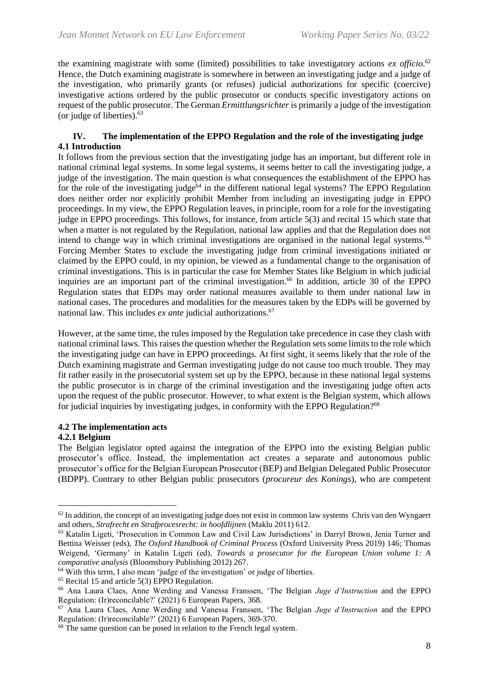the examining magistrate with some (limited) possibilities to take investigatory actions *ex officio*. 62 Hence, the Dutch examining magistrate is somewhere in between an investigating judge and a judge of the investigation, who primarily grants (or refuses) judicial authorizations for specific (coercive) investigative actions ordered by the public prosecutor or conducts specific investigatory actions on request of the public prosecutor. The German *Ermittlungsrichter* is primarily a judge of the investigation (or judge of liberties). 63

## **IV. The implementation of the EPPO Regulation and the role of the investigating judge 4.1 Introduction**

It follows from the previous section that the investigating judge has an important, but different role in national criminal legal systems. In some legal systems, it seems better to call the investigating judge, a judge of the investigation. The main question is what consequences the establishment of the EPPO has for the role of the investigating judge<sup>64</sup> in the different national legal systems? The EPPO Regulation does neither order nor explicitly prohibit Member from including an investigating judge in EPPO proceedings. In my view, the EPPO Regulation leaves, in principle, room for a role for the investigating judge in EPPO proceedings. This follows, for instance, from article 5(3) and recital 15 which state that when a matter is not regulated by the Regulation, national law applies and that the Regulation does not intend to change way in which criminal investigations are organised in the national legal systems.<sup>65</sup> Forcing Member States to exclude the investigating judge from criminal investigations initiated or claimed by the EPPO could, in my opinion, be viewed as a fundamental change to the organisation of criminal investigations. This is in particular the case for Member States like Belgium in which judicial inquiries are an important part of the criminal investigation.<sup>66</sup> In addition, article 30 of the EPPO Regulation states that EDPs may order national measures available to them under national law in national cases. The procedures and modalities for the measures taken by the EDPs will be governed by national law. This includes *ex ante* judicial authorizations. 67

However, at the same time, the rules imposed by the Regulation take precedence in case they clash with national criminal laws. This raises the question whether the Regulation sets some limits to the role which the investigating judge can have in EPPO proceedings. At first sight, it seems likely that the role of the Dutch examining magistrate and German investigating judge do not cause too much trouble. They may fit rather easily in the prosecutorial system set up by the EPPO, because in these national legal systems the public prosecutor is in charge of the criminal investigation and the investigating judge often acts upon the request of the public prosecutor. However, to what extent is the Belgian system, which allows for judicial inquiries by investigating judges, in conformity with the EPPO Regulation?<sup>68</sup>

## **4.2 The implementation acts**

## **4.2.1 Belgium**

The Belgian legislator opted against the integration of the EPPO into the existing Belgian public prosecutor's office. Instead, the implementation act creates a separate and autonomous public prosecutor's office for the Belgian European Prosecutor (BEP) and Belgian Delegated Public Prosecutor (BDPP). Contrary to other Belgian public prosecutors (*procureur des Konings*), who are competent

 $62$  In addition, the concept of an investigating judge does not exist in common law systems Chris van den Wyngaert and others, *Strafrecht en Strafprocesrecht: in hoofdlijnen* (Maklu 2011) 612.

<sup>63</sup> Katalin Ligeti, 'Prosecution in Common Law and Civil Law Jurisdictions' in Darryl Brown, Jenia Turner and Bettina Weisser (eds), *The Oxford Handbook of Criminal Process* (Oxford University Press 2019) 146; Thomas Weigend, 'Germany' in Katalin Ligeti (ed), *Towards a prosecutor for the European Union volume 1: A comparative analysis* (Bloomsbury Publishing 2012) 267.

<sup>64</sup> With this term, I also mean 'judge of the investigation' or judge of liberties.

 $65$  Recital 15 and article 5(3) EPPO Regulation.

<sup>66</sup> Ana Laura Claes, Anne Werding and Vanessa Franssen, 'The Belgian *Juge d'Instruction* and the EPPO Regulation: (Ir)reconcilable?' (2021) 6 European Papers, 368.

<sup>67</sup> Ana Laura Claes, Anne Werding and Vanessa Franssen, 'The Belgian *Juge d'Instruction* and the EPPO Regulation: (Ir)reconcilable?' (2021) 6 European Papers, 369-370.

<sup>&</sup>lt;sup>68</sup> The same question can be posed in relation to the French legal system.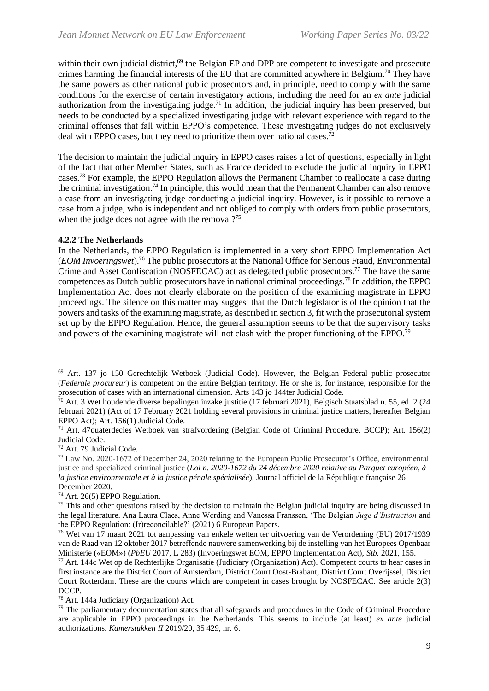within their own judicial district,<sup>69</sup> the Belgian EP and DPP are competent to investigate and prosecute crimes harming the financial interests of the EU that are committed anywhere in Belgium.<sup>70</sup> They have the same powers as other national public prosecutors and, in principle, need to comply with the same conditions for the exercise of certain investigatory actions, including the need for an *ex ante* judicial authorization from the investigating judge.<sup>71</sup> In addition, the judicial inquiry has been preserved, but needs to be conducted by a specialized investigating judge with relevant experience with regard to the criminal offenses that fall within EPPO's competence. These investigating judges do not exclusively deal with EPPO cases, but they need to prioritize them over national cases.<sup>72</sup>

The decision to maintain the judicial inquiry in EPPO cases raises a lot of questions, especially in light of the fact that other Member States, such as France decided to exclude the judicial inquiry in EPPO cases.<sup>73</sup> For example, the EPPO Regulation allows the Permanent Chamber to reallocate a case during the criminal investigation.<sup>74</sup> In principle, this would mean that the Permanent Chamber can also remove a case from an investigating judge conducting a judicial inquiry. However, is it possible to remove a case from a judge, who is independent and not obliged to comply with orders from public prosecutors, when the judge does not agree with the removal? $75$ 

#### **4.2.2 The Netherlands**

In the Netherlands, the EPPO Regulation is implemented in a very short EPPO Implementation Act (*EOM Invoeringswet*).<sup>76</sup> The public prosecutors at the National Office for Serious Fraud, Environmental Crime and Asset Confiscation (NOSFECAC) act as delegated public prosecutors.<sup>77</sup> The have the same competences as Dutch public prosecutors have in national criminal proceedings.<sup>78</sup> In addition, the EPPO Implementation Act does not clearly elaborate on the position of the examining magistrate in EPPO proceedings. The silence on this matter may suggest that the Dutch legislator is of the opinion that the powers and tasks of the examining magistrate, as described in section 3, fit with the prosecutorial system set up by the EPPO Regulation. Hence, the general assumption seems to be that the supervisory tasks and powers of the examining magistrate will not clash with the proper functioning of the EPPO.<sup>79</sup>

<sup>69</sup> Art. 137 jo 150 Gerechtelijk Wetboek (Judicial Code). However, the Belgian Federal public prosecutor (*Federale procureur*) is competent on the entire Belgian territory. He or she is, for instance, responsible for the prosecution of cases with an international dimension. Arts 143 jo 144ter Judicial Code.

 $70$  Art. 3 Wet houdende diverse bepalingen inzake justitie (17 februari 2021), Belgisch Staatsblad n. 55, ed. 2 (24 februari 2021) (Act of 17 February 2021 holding several provisions in criminal justice matters, hereafter Belgian EPPO Act); Art. 156(1) Judicial Code.

<sup>71</sup> Art. 47quaterdecies Wetboek van strafvordering (Belgian Code of Criminal Procedure, BCCP); Art. 156(2) Judicial Code.

<sup>72</sup> Art. 79 Judicial Code.

<sup>73</sup> Law No. 2020-1672 of December 24, 2020 relating to the European Public Prosecutor's Office, environmental justice and specialized criminal justice (*Loi n. 2020-1672 du 24 décembre 2020 relative au Parquet européen, à la justice environmentale et à la justice pénale spécialisée*), Journal officiel de la République française 26 December 2020.

<sup>74</sup> Art. 26(5) EPPO Regulation.

 $<sup>75</sup>$  This and other questions raised by the decision to maintain the Belgian judicial inquiry are being discussed in</sup> the legal literature. Ana Laura Claes, Anne Werding and Vanessa Franssen, 'The Belgian *Juge d'Instruction* and the EPPO Regulation: (Ir)reconcilable?' (2021) 6 European Papers.

<sup>76</sup> Wet van 17 maart 2021 tot aanpassing van enkele wetten ter uitvoering van de Verordening (EU) 2017/1939 van de Raad van 12 oktober 2017 betreffende nauwere samenwerking bij de instelling van het Europees Openbaar Ministerie («EOM») (*PbEU* 2017, L 283) (Invoeringswet EOM, EPPO Implementation Act), *Stb.* 2021, 155.

<sup>77</sup> Art. 144c Wet op de Rechterlijke Organisatie (Judiciary (Organization) Act). Competent courts to hear cases in first instance are the District Court of Amsterdam, District Court Oost-Brabant, District Court Overijssel, District Court Rotterdam. These are the courts which are competent in cases brought by NOSFECAC. See article 2(3) DCCP.

<sup>78</sup> Art. 144a Judiciary (Organization) Act.

<sup>79</sup> The parliamentary documentation states that all safeguards and procedures in the Code of Criminal Procedure are applicable in EPPO proceedings in the Netherlands. This seems to include (at least) *ex ante* judicial authorizations. *Kamerstukken II* 2019/20, 35 429, nr. 6.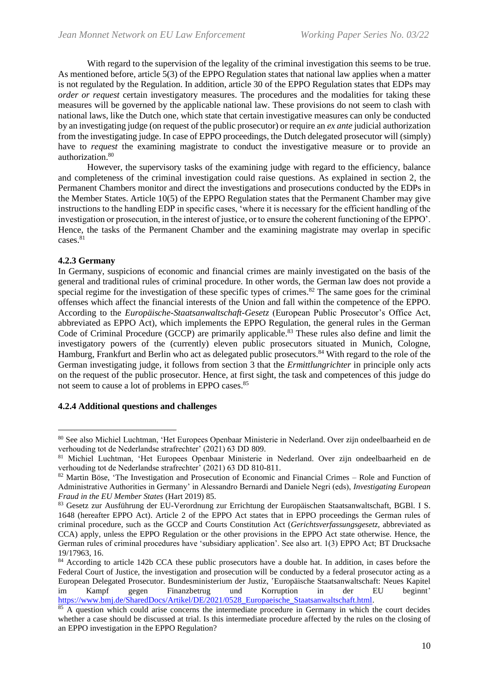With regard to the supervision of the legality of the criminal investigation this seems to be true. As mentioned before, article 5(3) of the EPPO Regulation states that national law applies when a matter is not regulated by the Regulation. In addition, article 30 of the EPPO Regulation states that EDPs may *order or request* certain investigatory measures. The procedures and the modalities for taking these measures will be governed by the applicable national law. These provisions do not seem to clash with national laws, like the Dutch one, which state that certain investigative measures can only be conducted by an investigating judge (on request of the public prosecutor) or require an *ex ante* judicial authorization from the investigating judge. In case of EPPO proceedings, the Dutch delegated prosecutor will (simply) have to *request* the examining magistrate to conduct the investigative measure or to provide an authorization.<sup>80</sup>

However, the supervisory tasks of the examining judge with regard to the efficiency, balance and completeness of the criminal investigation could raise questions. As explained in section 2, the Permanent Chambers monitor and direct the investigations and prosecutions conducted by the EDPs in the Member States. Article 10(5) of the EPPO Regulation states that the Permanent Chamber may give instructions to the handling EDP in specific cases, 'where it is necessary for the efficient handling of the investigation or prosecution, in the interest of justice, or to ensure the coherent functioning of the EPPO'. Hence, the tasks of the Permanent Chamber and the examining magistrate may overlap in specific cases.<sup>81</sup>

#### **4.2.3 Germany**

In Germany, suspicions of economic and financial crimes are mainly investigated on the basis of the general and traditional rules of criminal procedure. In other words, the German law does not provide a special regime for the investigation of these specific types of crimes. $82$  The same goes for the criminal offenses which affect the financial interests of the Union and fall within the competence of the EPPO. According to the *Europäische-Staatsanwaltschaft-Gesetz* (European Public Prosecutor's Office Act, abbreviated as EPPO Act), which implements the EPPO Regulation, the general rules in the German Code of Criminal Procedure (GCCP) are primarily applicable.<sup>83</sup> These rules also define and limit the investigatory powers of the (currently) eleven public prosecutors situated in Munich, Cologne, Hamburg, Frankfurt and Berlin who act as delegated public prosecutors.<sup>84</sup> With regard to the role of the German investigating judge, it follows from section 3 that the *Ermittlungrichter* in principle only acts on the request of the public prosecutor. Hence, at first sight, the task and competences of this judge do not seem to cause a lot of problems in EPPO cases.<sup>85</sup>

#### **4.2.4 Additional questions and challenges**

<sup>80</sup> See also Michiel Luchtman, 'Het Europees Openbaar Ministerie in Nederland. Over zijn ondeelbaarheid en de verhouding tot de Nederlandse strafrechter' (2021) 63 DD 809.

<sup>81</sup> Michiel Luchtman, 'Het Europees Openbaar Ministerie in Nederland. Over zijn ondeelbaarheid en de verhouding tot de Nederlandse strafrechter' (2021) 63 DD 810-811.

<sup>82</sup> Martin Böse, 'The Investigation and Prosecution of Economic and Financial Crimes – Role and Function of Administrative Authorities in Germany' in Alessandro Bernardi and Daniele Negri (eds), *Investigating European Fraud in the EU Member States* (Hart 2019) 85.

<sup>83</sup> Gesetz zur Ausführung der EU-Verordnung zur Errichtung der Europäischen Staatsanwaltschaft, BGBl. I S. 1648 (hereafter EPPO Act). Article 2 of the EPPO Act states that in EPPO proceedings the German rules of criminal procedure, such as the GCCP and Courts Constitution Act (*Gerichtsverfassungsgesetz,* abbreviated as CCA) apply, unless the EPPO Regulation or the other provisions in the EPPO Act state otherwise. Hence, the German rules of criminal procedures have 'subsidiary application'. See also art. 1(3) EPPO Act; BT Drucksache 19/17963, 16.

<sup>&</sup>lt;sup>84</sup> According to article 142b CCA these public prosecutors have a double hat. In addition, in cases before the Federal Court of Justice, the investigation and prosecution will be conducted by a federal prosecutor acting as a European Delegated Prosecutor. Bundesministerium der Justiz, 'Europäische Staatsanwaltschaft: Neues Kapitel im Kampf gegen Finanzbetrug und Korruption in der EU beginnt' [https://www.bmj.de/SharedDocs/Artikel/DE/2021/0528\\_Europaeische\\_Staatsanwaltschaft.html.](https://www.bmj.de/SharedDocs/Artikel/DE/2021/0528_Europaeische_Staatsanwaltschaft.html)

<sup>&</sup>lt;sup>85</sup> A question which could arise concerns the intermediate procedure in Germany in which the court decides whether a case should be discussed at trial. Is this intermediate procedure affected by the rules on the closing of an EPPO investigation in the EPPO Regulation?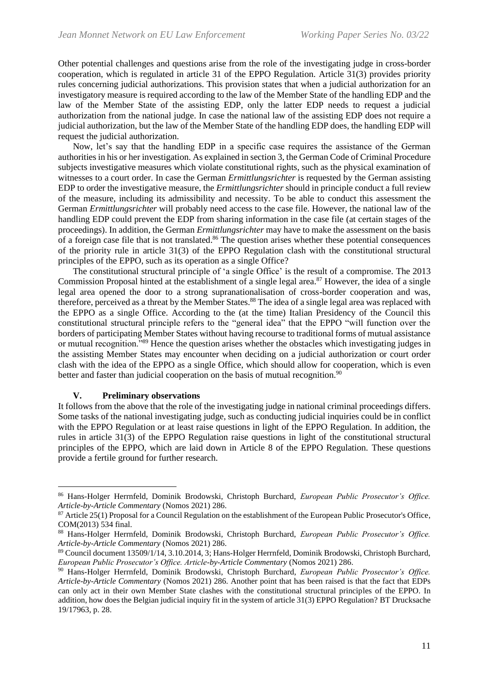Other potential challenges and questions arise from the role of the investigating judge in cross-border cooperation, which is regulated in article 31 of the EPPO Regulation. Article 31(3) provides priority rules concerning judicial authorizations. This provision states that when a judicial authorization for an investigatory measure is required according to the law of the Member State of the handling EDP and the law of the Member State of the assisting EDP, only the latter EDP needs to request a judicial authorization from the national judge. In case the national law of the assisting EDP does not require a judicial authorization, but the law of the Member State of the handling EDP does, the handling EDP will request the judicial authorization.

Now, let's say that the handling EDP in a specific case requires the assistance of the German authorities in his or her investigation. As explained in section 3, the German Code of Criminal Procedure subjects investigative measures which violate constitutional rights, such as the physical examination of witnesses to a court order. In case the German *Ermittlungsrichter* is requested by the German assisting EDP to order the investigative measure, the *Ermittlungsrichter* should in principle conduct a full review of the measure, including its admissibility and necessity. To be able to conduct this assessment the German *Ermittlungsrichter* will probably need access to the case file. However, the national law of the handling EDP could prevent the EDP from sharing information in the case file (at certain stages of the proceedings). In addition, the German *Ermittlungsrichter* may have to make the assessment on the basis of a foreign case file that is not translated.<sup>86</sup> The question arises whether these potential consequences of the priority rule in article 31(3) of the EPPO Regulation clash with the constitutional structural principles of the EPPO, such as its operation as a single Office?

The constitutional structural principle of 'a single Office' is the result of a compromise. The 2013 Commission Proposal hinted at the establishment of a single legal area.<sup>87</sup> However, the idea of a single legal area opened the door to a strong supranationalisation of cross-border cooperation and was, therefore, perceived as a threat by the Member States.<sup>88</sup> The idea of a single legal area was replaced with the EPPO as a single Office. According to the (at the time) Italian Presidency of the Council this constitutional structural principle refers to the "general idea" that the EPPO "will function over the borders of participating Member States without having recourse to traditional forms of mutual assistance or mutual recognition."<sup>89</sup> Hence the question arises whether the obstacles which investigating judges in the assisting Member States may encounter when deciding on a judicial authorization or court order clash with the idea of the EPPO as a single Office, which should allow for cooperation, which is even better and faster than judicial cooperation on the basis of mutual recognition.<sup>90</sup>

#### **V. Preliminary observations**

It follows from the above that the role of the investigating judge in national criminal proceedings differs. Some tasks of the national investigating judge, such as conducting judicial inquiries could be in conflict with the EPPO Regulation or at least raise questions in light of the EPPO Regulation. In addition, the rules in article 31(3) of the EPPO Regulation raise questions in light of the constitutional structural principles of the EPPO, which are laid down in Article 8 of the EPPO Regulation. These questions provide a fertile ground for further research.

<sup>86</sup> Hans-Holger Herrnfeld, Dominik Brodowski, Christoph Burchard, *European Public Prosecutor's Office. Article-by-Article Commentary* (Nomos 2021) 286.

<sup>87</sup> Article 25(1) Proposal for a Council Regulation on the establishment of the European Public Prosecutor's Office, COM(2013) 534 final.

<sup>88</sup> Hans-Holger Herrnfeld, Dominik Brodowski, Christoph Burchard, *European Public Prosecutor's Office. Article-by-Article Commentary* (Nomos 2021) 286.

<sup>89</sup> Council document 13509/1/14, 3.10.2014, 3; Hans-Holger Herrnfeld, Dominik Brodowski, Christoph Burchard, *European Public Prosecutor's Office. Article-by-Article Commentary* (Nomos 2021) 286.

<sup>90</sup> Hans-Holger Herrnfeld, Dominik Brodowski, Christoph Burchard, *European Public Prosecutor's Office. Article-by-Article Commentary* (Nomos 2021) 286. Another point that has been raised is that the fact that EDPs can only act in their own Member State clashes with the constitutional structural principles of the EPPO. In addition, how does the Belgian judicial inquiry fit in the system of article 31(3) EPPO Regulation? BT Drucksache 19/17963, p. 28.